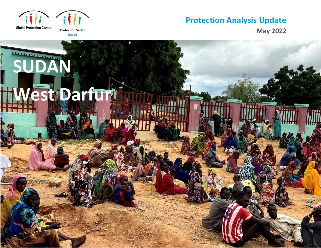

**May 2022**

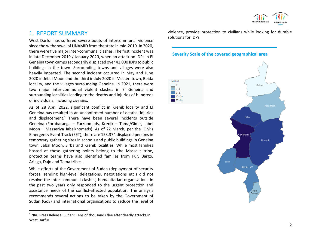

# 1. REPORT SUMMARY

West Darfur has suffered severe bouts of intercommunal violence since the withdrawal of UNAMID from the state in mid-2019. In 2020, there were five major inter-communal clashes. The first incident was in late December 2019 / January 2020, when an attack on IDPs in El Geneina town camps secondarily displaced over 41,000 IDPs to public buildings in the town. Surrounding towns and villages were also heavily impacted. The second incident occurred in May and June 2020 in Jebal Moon and the third in July 2020 in Mesteri town, Beida locality, and the villages surrounding Geneina. In 2021, there were two major inter-communal violent clashes in El Geneina and surrounding localities leading to the deaths and injuries of hundreds of individuals, including civilians.

As of 28 April 2022, significant conflict in Krenik locality and El Geneina has resulted in an unconfirmed number of deaths, injuries and displacement. <sup>1</sup> There have been several incidents outside Geneina (Forobaranga – Fur/nomads, Krenik – Tama/Gimir, Jabel Moon – Masseriya Jabal/nomads). As of 22 March, per the IOM's Emergency Event Track (EET), there are 153,374 displaced persons in temporary gathering sites in schools and public buildings in Geneina town, Jabal Moon, Sirba and Krenik localities. While most families hosted at these gathering points belong to the Massalit tribe, protection teams have also identified families from Fur, Bargo, Aringa, Dajo and Tama tribes.

While efforts of the Government of Sudan (deployment of security forces, sending high-level delegations, negotiations etc.) did not resolve the inter-communal clashes, humanitarian organisations in the past two years only responded to the urgent protection and assistance needs of the conflict-affected population. The analysis recommends several actions to be taken by the Government of Sudan (GoS) and international organisations to reduce the level of violence, provide protection to civilians while looking for durable solutions for IDPs.

#### **Severity Scale of the covered geographical area**

Incident  $\Box$  2



<sup>&</sup>lt;sup>1</sup> NRC Press Release: Sudan: Tens of thousands flee after deadly attacks in West Darfur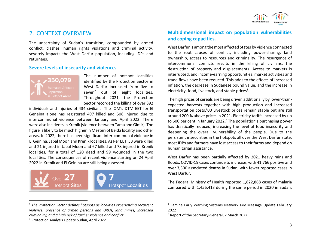

# 2. CONTEXT OVERVIEW

The uncertainty of Sudan's transition, compounded by armed conflict, clashes, human rights violations and criminal activity, severely impacts the West Darfur population, including IDPs and returnees.

#### **Severe levels of insecurity and violence.**



The number of hotspot localities identified by the Protection Sector in West Darfur increased from five to seven<sup>2</sup> out of eight localities. Throughout 2021, the Protection Sector recorded the killing of over 392

individuals and injuries of 434 civilians. The IOM's DTM EET for El Geneina alone has registered 497 killed and 508 injured due to intercommunal violence between January and April 2022. There were also incidents in Krenik (violence between Tama and Gimir). The figure is likely to be much higher in Mesteri of Beida locality and other areas. In 2022, there has been significant inter-communal violence in El Geinina, Jabal Moon and Krenik localities. As Per EET, 53 were killed and 21 injured in Jabal Moon and 67 killed and 78 injured in Krenik localities, for a total of 120 dead and 99 wounded in the two localities. The consequences of recent violence starting on 24 April 2022 in Krenik and El Geinina are still being assessed.



<sup>2</sup> *The Protection Sector defines hotspots as localities experiencing recurrent violence, presence of armed persons and UXOs, land mines, increased criminality, and a high risk of further violence and conflict*

#### **Multidimensional impact on population vulnerabilities and coping capacities.**

West Darfur is among the most affected States by violence connected to the root causes of conflict, including power-sharing, land ownership, access to resources and criminality. The resurgence of intercommunal conflicts results in the killing of civilians, the destruction of property and displacements. Access to markets is interrupted, and income-earning opportunities, market activities and trade flows have been reduced. This adds to the effects of increased inflation, the decrease in Sudanese pound value, and the increase in electricity, food, livestock, and staple prices<sup>3</sup>.

The high prices of cereals are being driven additionally by lower-thanexpected harvests together with high production and increased transportation costs. <sup>4</sup>00 Livestock prices remain stable but are still around 200 % above prices in 2021. Electricity tariffs increased by up to 600 per cent in January 2022. <sup>5</sup> The population's purchasing power has drastically reduced, increasing the level of food insecurity and deepening the overall vulnerability of the people. Due to the persistent insecurities in the hotspots all over the West Darfur state, most IDPs and farmers have lost access to their farms and depend on humanitarian assistance.

West Darfur has been partially affected by 2021 heavy rains and floods. COVID-19 cases continue to increase, with 41,766 positive and over 3,300 associated deaths in Sudan, with fewer reported cases in West Darfur.

The Federal Ministry of Health reported 1,822,868 cases of malaria compared with 1,456,413 during the same period in 2020 in Sudan.

<sup>3</sup> Protection Analysis Update Sudan, April 2022

<sup>4</sup> Famine Early Warning Systems Network Key Message Update February 2022

<sup>5</sup> Report of the Secretary-General, 2 March 2022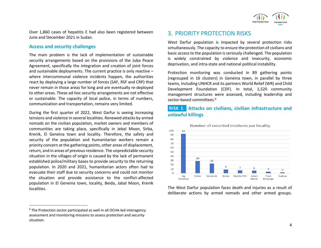Over 1,860 cases of hepatitis E had also been registered between June and December 2021 in Sudan.

#### **Access and security challenges**

The main problem is the lack of implementation of sustainable security arrangements based on the provisions of the Juba Peace Agreement, specifically the integration and creation of joint forces and sustainable deployments. The current practice is only reactive – where intercommunal violence incidents happen, the authorities react by deploying a large number of forces (SAF, RSF and CRP) that never remain in those areas for long and are eventually re-deployed to other areas. These ad-hoc security arrangements are not effective or sustainable. The capacity of local police, in terms of numbers, communication and transportation, remains very limited.

During the first quarter of 2022, West Darfur is seeing increasing tensions and violence in several localities. Renewed attacks by armed nomads on the civilian population, market owners and members of communities are taking place, specifically in Jebal Moon, Sirba, Krenik, El Geneina town and locality. Therefore, the safety and security of the population and humanitarian workers remain a priority concern at the gathering points, other areas of displacement, return, and in areas of previous residence. The unpredictable security situation in the villages of origin is caused by the lack of permanent established police/military bases to provide security to the returning population. In 2020 and 2021, humanitarian actors often had to evacuate their staff due to security concerns and could not monitor the situation and provide assistance to the conflict-affected population in El Geneina town, locality, Beida, Jabal Moon, Krenik localities.

 $6$  The Protection sector participated as well in all OCHA-led interagency assessment and monitoring missions to assess protection and security situation.

# 3. PRIORITY PROTECTION RISKS

West Darfur population is impacted by several protection risks simultaneously. The capacity to ensure the protection of civilians and basic access to the population is seriously challenged. The population is widely constrained by violence and insecurity, economic deprivation, and intra-state and national political instability.

Protection monitoring was conducted in 89 gathering points (regrouped in 16 clusters) in Geneina town, in parallel by three teams, including UNHCR and its partners World Relief (WR) and Child Development Foundation (CDF). In total, 1,520 community management structures were assessed, including leadership and sector-based committees. 6

### **RISK 1**: **Attacks on civilians, civilian infrastructure and unlawful killings**



Number of recorded incidents per locality

The West Darfur population faces death and injuries as a result of deliberate actions by armed nomads and other armed groups.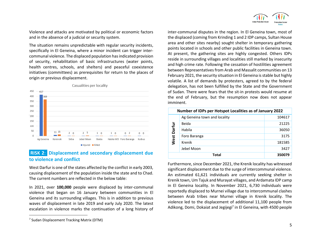

Violence and attacks are motivated by political or economic factors and in the absence of a judicial or security system.

The situation remains unpredictable with regular security incidents, specifically in El Geneina, where a minor incident can trigger intercommunal violence. The displaced population has indicated provision of security, rehabilitation of basic infrastructures (water points, health centres, schools, and shelters) and peaceful coexistence initiatives (committees) as prerequisites for return to the places of origin or previous displacement.



#### Casualities per locality

**RISK 2**: **Displacement and secondary displacement due to violence and conflict**

West Darfur is one of the states affected by the conflict in early 2003, causing displacement of the population inside the state and to Chad. The current numbers are reflected in the below table:

In 2021, over **100,000** people were displaced by inter-communal violence that began on 16 January between communities in El Geneina and its surrounding villages. This is in addition to previous waves of displacement in late 2019 and early July 2020. The latest escalation in violence marks the continuation of a long history of

inter-communal disputes in the region. In El Geneina town, most of the displaced (coming from Krinding 1 and 2 IDP camps, Sultan House area and other sites nearby) sought shelter in temporary gathering points located in schools and other public facilities in Geneina town. At present, the gathering sites are highly congested. Others IDPs reside in surrounding villages and localities still marked by insecurity and high crime rate. Following the cessation of hostilities agreement between Representatives from Arab and Massalit communities on 13 February 2021, the security situation in El Geneina is stable but highly volatile. A list of demands by protesters, agreed to by the federal delegation, has not been fulfilled by the State and the Government of Sudan. There were fears that the sit-in protests would resume at the end of February, but the resumption now does not appear imminent.

| Number of IDPs per Hotspot Localities as of January 2022 |                              |        |
|----------------------------------------------------------|------------------------------|--------|
| Darfur<br>West                                           | Ag Geneina town and locality | 104617 |
|                                                          | Beida                        | 21225  |
|                                                          | Habila                       | 36050  |
|                                                          | Foro Baranga                 | 3175   |
|                                                          | Krenik                       | 181585 |
|                                                          | Jebel Moon                   | 3427   |
| Total                                                    |                              | 350079 |

Furthermore, since December 2021, the Krenik locality has witnessed significant displacement due to the surge of intercommunal violence. An estimated 61,621 individuals are currently seeking shelter in Krenik town, Um Tajuk and Murayat villages, and Ardamata IDP camp in El Geneina locality. In November 2021, 6,730 individuals were reportedly displaced to Murnei village due to intercommunal clashes between Arab tribes near Murnei village in Krenik locality. The violence led to the displacement of additional 11,100 people from Adikong, Domi, Dokaiat and Jegijegi<sup>7</sup> in El Geneina, with 4500 people

<sup>7</sup> Sudan Displacement Tracking Matrix (DTM)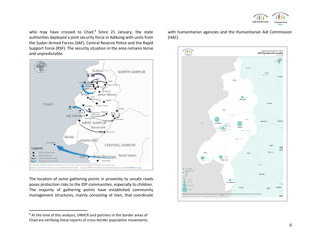

who may have crossed to Chad.<sup>8</sup> Since 21 January, the state authorities deployed a joint security force in Adikong with units from the Sudan Armed Forces (SAF), Central Reserve Police and the Rapid Support Force (RSF). The security situation in the area remains tense and unpredictable.



The location of some gathering points in proximity to unsafe roads poses protection risks to the IDP communities, especially to children. The majority of gathering points have established community management structures, mainly consisting of men, that coordinate

with humanitarian agencies and the Humanitarian Aid Commission (HAC).



<sup>&</sup>lt;sup>8</sup> At the time of this analysis, UNHCR and partners in the border areas of Chad are verifying these reports of cross-border population movements.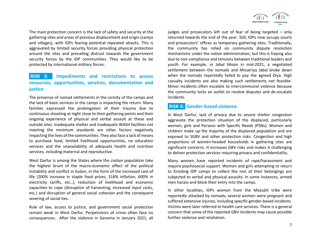The main protection concern is the lack of safety and security at the gathering sites and areas of previous displacement and origin (camps and villages), with IDPs fearing potential repeated attacks. This is aggravated by limited security forces providing physical protection around the sites and prevailing distrust towards the government security forces by the IDP communities. They would like to be protected by international military forces.

## **RISK 3**: **Impediments and restrictions to access resources, opportunities, services, documentation and justice**

The presence of nomad settlements in the vicinity of the camps and the lack of basic services in the camps is impacting the return. Many families expressed the prolongation of their trauma due to continuous shooting at night close to their gathering points and their ongoing experience of physical and verbal assault at these and outside sites. Inadequate shelter and inadequate WASH facilities not meeting the minimum standards are other factors negatively impacting the lives of the communities. They also face a lack of means to purchase food, limited livelihood opportunities, no education services and the unavailability of adequate health and nutrition services, including maternal and reproductive.

West Darfur is among the States where the civilian population take the highest brunt of the macro-economic effect of the political instability and conflict in Sudan, in the form of the increased cost of life (200% increase in staple food prices, 318% inflation, 600% in electricity tariffs, etc..), reduction of livelihood and economic capacities to cope (disruption of harvesting, increased input costs, etc.) and disruption of general social cohesion and the consequent severing of social ties.

Rule of law, access to justice, and government social protection remain weak in West Darfur. Perpetrators of crime often face no consequences. After the violence in Geneina in January 2021, all



judges and prosecutors left out of fear of being targeted – only returned towards the end of the year. Still, IDPs now occupy courts and prosecutors' offices as temporary gathering sites. Traditionally, the community has relied on community dispute resolution mechanisms under the native administration, but this is fraying also due to non-compliance and tensions between traditional leaders and youth. For example, in Jabal Moon in mid-2021, a negotiated settlement between the nomads and Misseriya Jabal broke down when the nomads reportedly failed to pay the agreed Diya. High casualty incidents are also making such settlements not feasible. Minor incidents often escalate to intercommunal violence because the community lacks an outlet to resolve disputes and de-escalate incidents.

#### **RISK 4: Gender-based violence**

In West Darfur, lack of privacy due to severe shelter congestion aggravate the protection situation of the displaced, particularly women, girls and Persons with Specific Needs (PSNs). Women and children make up the majority of the displaced population and are exposed to SGBV and other protection risks. Congestion and high proportions of women-headed households in gathering sites are significant concerns. It increases GBV risks and makes it challenging to deliver protection services requiring privacy and confidentiality.

Many women have reported incidents of rape/harassment and require psychosocial support. Women and girls attempting to return to Krinding IDP camps to collect the rest of their belongings are subjected to verbal and physical assaults. In some instances, armed men harass and block their entry into the camps.

In other localities, IDPs women from the Massalit tribe were reportedly attacked by nomads; several women were pregnant and suffered extensive injuries, including specific gender-based incidents. Victims were later referred to health care services. There is a general concern that some of the reported GBV incidents may cause possible further violence and retaliation.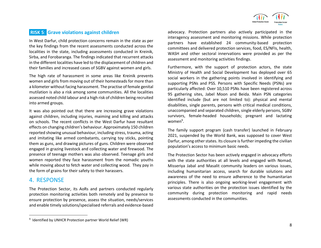

### **RISK 5**: **Grave violations against children**

In West Darfur, child protection concerns remain in the state as per the key findings from the recent assessments conducted across the localities in the state, including assessments conducted in Kreinik, Sirba, and Forobaranga. The findings indicated that recurrent attacks in the different localities have led to the displacement of children and their families and increased cases of SGBV against women and girls.

The high rate of harassment in some areas like Kreinik prevents women and girls from moving out of their homesteads for more than a kilometer without facing harassment. The practise of female genital mutilation is also a risk among some communities. All the localities assessed noted child labour and a high risk of children being recruited into armed groups.

It was also pointed out that there are increasing grave violations against children, including injuries, maiming and killing and attacks on schools. The recent conflicts in the West Darfur have resultant effects on changing children's behaviour. Approximately 150 children reported showing unusual behaviour, including stress, trauma, acting and imitating like armed combatants, carrying toy sticks, pointing them as guns, and drawing pictures of guns. Children were observed engaged in grazing livestock and collecting water and firewood. The presence of teenage mothers was also observed. Teenage girls and women reported they face harassment from the nomadic youths while moving about to fetch water and collecting wood. They pay in the form of grains for their safety to their harassers.

# 4. RESPONSE

The Protection Sector, its AoRs and partners conducted regularly protection monitoring activities both remotely and by presence to ensure protection by presence, assess the situation, needs/services and enable timely solutions/specialised referrals and evidence-based advocacy. Protection partners also actively participated in the interagency assessment and monitoring missions. While protection partners have established 24 community-based protection committees and delivered protection services, food, ES/NFIs, health, WASH and other sectoral innervations were provided as per the assessment and monitoring activities findings.

Furthermore, with the support of protection actors, the state Ministry of Health and Social Development has deployed over 65 social workers in the gathering points involved in identifying and supporting PSNs and PSS. Persons with Specific Needs (PSNs) are particularly affected: Over 10,510 PSNs have been registered across 95 gathering sites, Jabel Moon and Beida. Main PSN categories identified include (but are not limited to): physical and mental disabilities, single parents, persons with critical medical conditions, unaccompanied and separated children, single elderly persons, SGBV survivors, female-headed households; pregnant and lactating women<sup>9</sup>.

The family support program (cash transfer) launched in February 2021, suspended by the World Bank, was supposed to cover West Darfur, among other states. Its closure is further impeding the civilian population's access to minimum basic needs.

The Protection Sector has been actively engaged in advocacy efforts with the state authorities at all levels and engaged with Nomad, Misseriya Jabal and Masalit community leaders on various issues, including humanitarian access, search for durable solutions and awareness of the need to ensure adherence to the humanitarian principles. There is also ongoing working-level engagement with various state authorities on the protection issues identified by the community during protection monitoring and rapid needs assessments conducted in the communities.

<sup>&</sup>lt;sup>9</sup> Identified by UNHCR Protection partner World Relief (WR)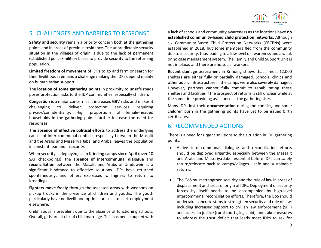

# 5. CHALLENGES AND BARRIERS TO RESPONSE

**Safety and security** remain a priority concern both at the gathering points and in areas of previous residence. The unpredictable security situation in the villages of origin is due to the lack of permanent established police/military bases to provide security to the returning population.

**Limited freedom of movement** of IDPs to go and farm or search for their livelihoods remains a challenge making the IDPs depend mainly on humanitarian support.

**The location of some gathering points** in proximity to unsafe roads poses protection risks to the IDP communities, especially children.

**Congestion** is a major concern as it increases GBV risks and makes it challenging to deliver protection services requiring privacy/confidentiality. High proportions of female-headed households in the gathering points further increase the need for responses.

**The absence of effective political efforts** to address the underlying causes of inter-communal conflicts, especially between the Masalit and the Arabs and Misseriya Jabal and Arabs, leaves the population in constant fear and insecurity.

When security is deployed, as in Krinding camps since April (over 10 SAF checkpoints), the **absence of intercommunal dialogue** and **reconciliation** between the Masalit and Arabs of Umduwein is a significant hindrance to effective solutions. IDPs have returned spontaneously, and others expressed willingness to return to Krendings.

**Fighters move freely** through the assessed areas with weapons on pickup trucks in the presence of children and youths. The youth particularly have no livelihood options or skills to seek employment elsewhere.

Child labour is prevalent due to the absence of functioning schools. Overall, girls are at risk of child marriage. This has been coupled with a lack of schools and community awareness as the locations have **no established community-based child protection networks.** Although six Community-Based Child Protection Networks (CBCPNs) were established in 2018, but some members fled from the community due to insecurity, thus leading to a low level of awareness and a weak or no case management system. The Family and Child Support Unit is not in place, and there are no social workers.

**Recent damage assessment** in Krinding shows that almost 12,000 shelters are either fully or partially damaged. Schools, clinics and other public infrastructure in the camps were also severely damaged. However, partners cannot fully commit to rehabilitating these shelters and facilities if the prospect of returns is still unclear while at the same time providing assistance at the gathering sites.

Many IDPs lost their **documentation** during the conflict, and some children born in the gathering points have yet to be issued birth certificates.

# 6. RECOMMENDED ACTIONS

There is a need for urgent solutions to the situation in IDP gathering points.

- Active inter-communal dialogue and reconciliation efforts should be deployed urgently, especially between the Massalit and Arabs and Misseriya Jabel essential before IDPs can safely return/relocate back to camps/villages - safe and sustainable returns.
- The GoS must strengthen security and the rule of law in areas of displacement and areas of origin of IDPs. Deployment of security forces by itself needs to be accompanied by high-level intercommunal reconciliation efforts. Therefore, the GoS should undertake concrete steps to strengthen security and rule of law, including increased support to civilian law enforcement (SPF) and access to justice (rural courts, legal aid); and take measures to address the trust deficit that leads most IDPs to ask for